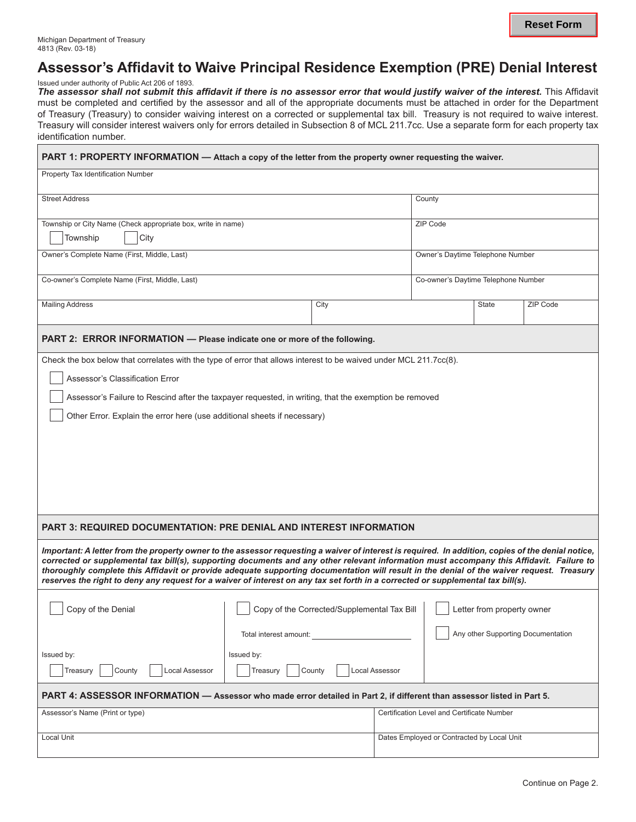# **Assessor's Affidavit to Waive Principal Residence Exemption (PRE) Denial Interest**

Issued under authority of Public Act 206 of 1893.

**The assessor shall not submit this affidavit if there is no assessor error that would justify waiver of the interest.** This Affidavit must be completed and certified by the assessor and all of the appropriate documents must be attached in order for the Department of Treasury (Treasury) to consider waiving interest on a corrected or supplemental tax bill. Treasury is not required to waive interest. Treasury will consider interest waivers only for errors detailed in Subsection 8 of MCL 211.7cc. Use a separate form for each property tax identification number.

| PART 1: PROPERTY INFORMATION - Attach a copy of the letter from the property owner requesting the waiver.                                                                                                                                                                                                                                                                                                                 |                                             |                                     |                                            |                                            |                            |  |  |  |  |  |  |
|---------------------------------------------------------------------------------------------------------------------------------------------------------------------------------------------------------------------------------------------------------------------------------------------------------------------------------------------------------------------------------------------------------------------------|---------------------------------------------|-------------------------------------|--------------------------------------------|--------------------------------------------|----------------------------|--|--|--|--|--|--|
| Property Tax Identification Number                                                                                                                                                                                                                                                                                                                                                                                        |                                             |                                     |                                            |                                            |                            |  |  |  |  |  |  |
| <b>Street Address</b>                                                                                                                                                                                                                                                                                                                                                                                                     |                                             |                                     |                                            | County                                     |                            |  |  |  |  |  |  |
| Township or City Name (Check appropriate box, write in name)                                                                                                                                                                                                                                                                                                                                                              |                                             |                                     |                                            | ZIP Code                                   |                            |  |  |  |  |  |  |
| City<br>Township                                                                                                                                                                                                                                                                                                                                                                                                          |                                             |                                     |                                            |                                            |                            |  |  |  |  |  |  |
| Owner's Complete Name (First, Middle, Last)                                                                                                                                                                                                                                                                                                                                                                               |                                             |                                     | Owner's Daytime Telephone Number           |                                            |                            |  |  |  |  |  |  |
| Co-owner's Complete Name (First, Middle, Last)                                                                                                                                                                                                                                                                                                                                                                            |                                             | Co-owner's Daytime Telephone Number |                                            |                                            |                            |  |  |  |  |  |  |
| <b>Mailing Address</b>                                                                                                                                                                                                                                                                                                                                                                                                    |                                             |                                     |                                            | <b>State</b>                               | ZIP Code                   |  |  |  |  |  |  |
| PART 2: ERROR INFORMATION - Please indicate one or more of the following.                                                                                                                                                                                                                                                                                                                                                 |                                             |                                     |                                            |                                            |                            |  |  |  |  |  |  |
| Check the box below that correlates with the type of error that allows interest to be waived under MCL 211.7cc(8).                                                                                                                                                                                                                                                                                                        |                                             |                                     |                                            |                                            |                            |  |  |  |  |  |  |
| Assessor's Classification Error                                                                                                                                                                                                                                                                                                                                                                                           |                                             |                                     |                                            |                                            |                            |  |  |  |  |  |  |
| Assessor's Failure to Rescind after the taxpayer requested, in writing, that the exemption be removed                                                                                                                                                                                                                                                                                                                     |                                             |                                     |                                            |                                            |                            |  |  |  |  |  |  |
| Other Error. Explain the error here (use additional sheets if necessary)                                                                                                                                                                                                                                                                                                                                                  |                                             |                                     |                                            |                                            |                            |  |  |  |  |  |  |
|                                                                                                                                                                                                                                                                                                                                                                                                                           |                                             |                                     |                                            |                                            |                            |  |  |  |  |  |  |
|                                                                                                                                                                                                                                                                                                                                                                                                                           |                                             |                                     |                                            |                                            |                            |  |  |  |  |  |  |
|                                                                                                                                                                                                                                                                                                                                                                                                                           |                                             |                                     |                                            |                                            |                            |  |  |  |  |  |  |
|                                                                                                                                                                                                                                                                                                                                                                                                                           |                                             |                                     |                                            |                                            |                            |  |  |  |  |  |  |
|                                                                                                                                                                                                                                                                                                                                                                                                                           |                                             |                                     |                                            |                                            |                            |  |  |  |  |  |  |
| <b>PART 3: REQUIRED DOCUMENTATION: PRE DENIAL AND INTEREST INFORMATION</b>                                                                                                                                                                                                                                                                                                                                                |                                             |                                     |                                            |                                            |                            |  |  |  |  |  |  |
| Important: A letter from the property owner to the assessor requesting a waiver of interest is required. In addition, copies of the denial notice,                                                                                                                                                                                                                                                                        |                                             |                                     |                                            |                                            |                            |  |  |  |  |  |  |
| corrected or supplemental tax bill(s), supporting documents and any other relevant information must accompany this Affidavit. Failure to<br>thoroughly complete this Affidavit or provide adequate supporting documentation will result in the denial of the waiver request. Treasury<br>reserves the right to deny any request for a waiver of interest on any tax set forth in a corrected or supplemental tax bill(s). |                                             |                                     |                                            |                                            |                            |  |  |  |  |  |  |
|                                                                                                                                                                                                                                                                                                                                                                                                                           |                                             |                                     |                                            |                                            |                            |  |  |  |  |  |  |
| Copy of the Denial                                                                                                                                                                                                                                                                                                                                                                                                        | Copy of the Corrected/Supplemental Tax Bill |                                     |                                            |                                            | Letter from property owner |  |  |  |  |  |  |
|                                                                                                                                                                                                                                                                                                                                                                                                                           | Total interest amount:                      | Any other Supporting Documentation  |                                            |                                            |                            |  |  |  |  |  |  |
| Issued by:                                                                                                                                                                                                                                                                                                                                                                                                                | Issued by:                                  |                                     |                                            |                                            |                            |  |  |  |  |  |  |
| Treasury<br>County<br><b>Local Assessor</b>                                                                                                                                                                                                                                                                                                                                                                               | <b>Local Assessor</b><br>Treasury<br>County |                                     |                                            |                                            |                            |  |  |  |  |  |  |
| PART 4: ASSESSOR INFORMATION - Assessor who made error detailed in Part 2, if different than assessor listed in Part 5.                                                                                                                                                                                                                                                                                                   |                                             |                                     |                                            |                                            |                            |  |  |  |  |  |  |
| Assessor's Name (Print or type)                                                                                                                                                                                                                                                                                                                                                                                           |                                             |                                     |                                            | Certification Level and Certificate Number |                            |  |  |  |  |  |  |
| Local Unit                                                                                                                                                                                                                                                                                                                                                                                                                |                                             |                                     | Dates Employed or Contracted by Local Unit |                                            |                            |  |  |  |  |  |  |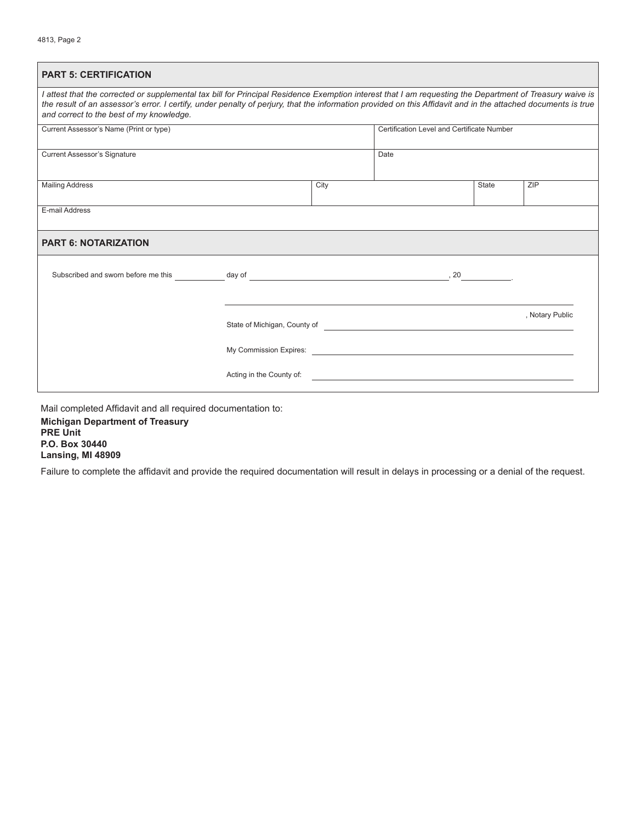| <b>PART 5: CERTIFICATION</b>                                                                                                                                                                                                                                                                                                                                          |  |      |                                            |  |                 |  |  |  |  |  |
|-----------------------------------------------------------------------------------------------------------------------------------------------------------------------------------------------------------------------------------------------------------------------------------------------------------------------------------------------------------------------|--|------|--------------------------------------------|--|-----------------|--|--|--|--|--|
| I attest that the corrected or supplemental tax bill for Principal Residence Exemption interest that I am requesting the Department of Treasury waive is<br>the result of an assessor's error. I certify, under penalty of perjury, that the information provided on this Affidavit and in the attached documents is true<br>and correct to the best of my knowledge. |  |      |                                            |  |                 |  |  |  |  |  |
| Current Assessor's Name (Print or type)                                                                                                                                                                                                                                                                                                                               |  |      | Certification Level and Certificate Number |  |                 |  |  |  |  |  |
| <b>Current Assessor's Signature</b>                                                                                                                                                                                                                                                                                                                                   |  |      | Date                                       |  |                 |  |  |  |  |  |
| <b>Mailing Address</b>                                                                                                                                                                                                                                                                                                                                                |  | City |                                            |  | ZIP             |  |  |  |  |  |
| E-mail Address                                                                                                                                                                                                                                                                                                                                                        |  |      |                                            |  |                 |  |  |  |  |  |
| <b>PART 6: NOTARIZATION</b>                                                                                                                                                                                                                                                                                                                                           |  |      |                                            |  |                 |  |  |  |  |  |
|                                                                                                                                                                                                                                                                                                                                                                       |  |      |                                            |  |                 |  |  |  |  |  |
|                                                                                                                                                                                                                                                                                                                                                                       |  |      |                                            |  |                 |  |  |  |  |  |
|                                                                                                                                                                                                                                                                                                                                                                       |  |      |                                            |  | , Notary Public |  |  |  |  |  |
|                                                                                                                                                                                                                                                                                                                                                                       |  |      |                                            |  |                 |  |  |  |  |  |
|                                                                                                                                                                                                                                                                                                                                                                       |  |      |                                            |  |                 |  |  |  |  |  |

Mail completed Affidavit and all required documentation to:

**Michigan Department of Treasury PRE Unit P.O. Box 30440 Lansing, MI 48909**

Failure to complete the affidavit and provide the required documentation will result in delays in processing or a denial of the request.